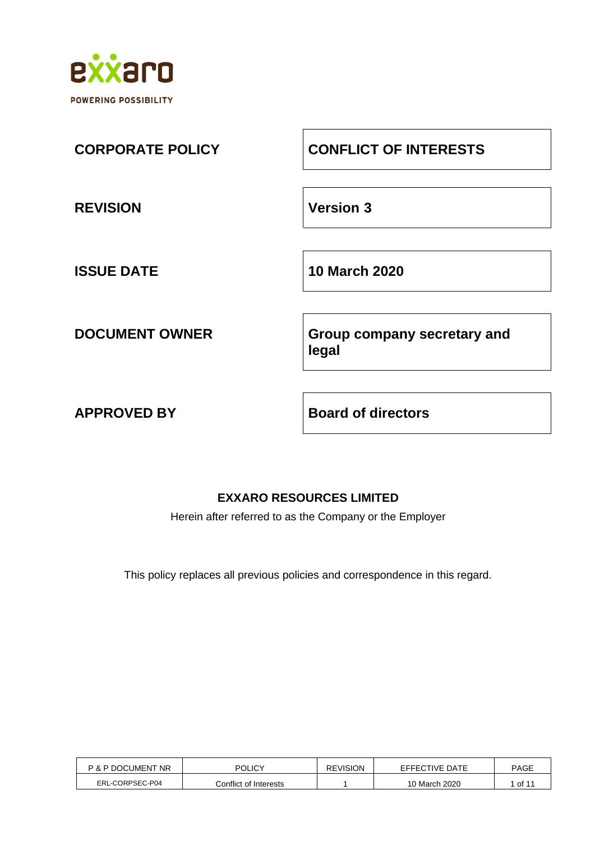

| <b>CORPORATE POLICY</b> | <b>CONFLICT OF INTERESTS</b>         |
|-------------------------|--------------------------------------|
| <b>REVISION</b>         | <b>Version 3</b>                     |
| <b>ISSUE DATE</b>       | <b>10 March 2020</b>                 |
| <b>DOCUMENT OWNER</b>   | Group company secretary and<br>legal |

**APPROVED BY Board of directors**

# **EXXARO RESOURCES LIMITED**

Herein after referred to as the Company or the Employer

This policy replaces all previous policies and correspondence in this regard.

| P & P DOCUMENT NR | POLICY                | REVISION | EFFECTIVE DATE | <b>PAGE</b> |
|-------------------|-----------------------|----------|----------------|-------------|
| ERL-CORPSEC-P04   | Conflict of Interests |          | 10 March 2020  | of 1        |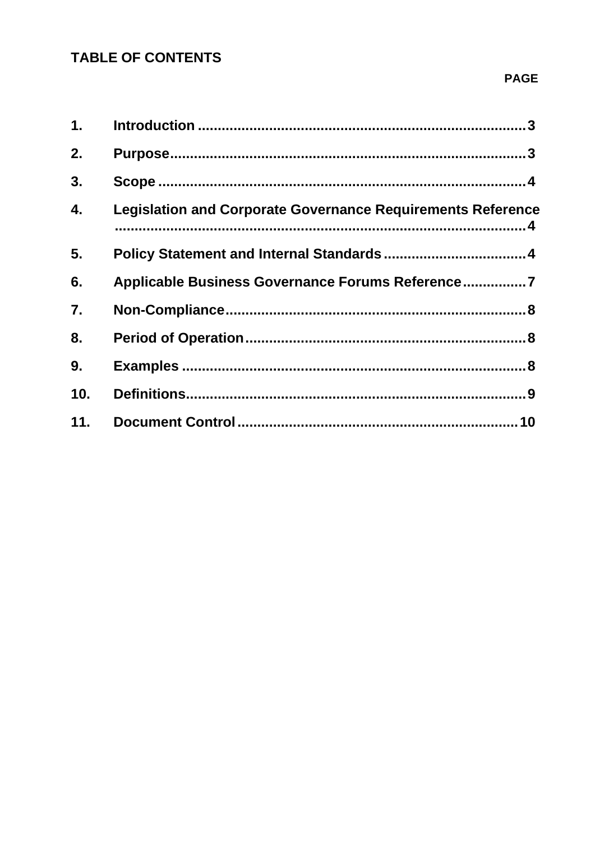# **TABLE OF CONTENTS**

## **PAGE**

| 1.               |                                                                    |  |
|------------------|--------------------------------------------------------------------|--|
| 2.               |                                                                    |  |
| 3.               |                                                                    |  |
| 4.               | <b>Legislation and Corporate Governance Requirements Reference</b> |  |
| 5.               |                                                                    |  |
| 6.               | Applicable Business Governance Forums Reference7                   |  |
| $\overline{7}$ . |                                                                    |  |
| 8.               |                                                                    |  |
| 9.               |                                                                    |  |
| 10.              |                                                                    |  |
| 11.              |                                                                    |  |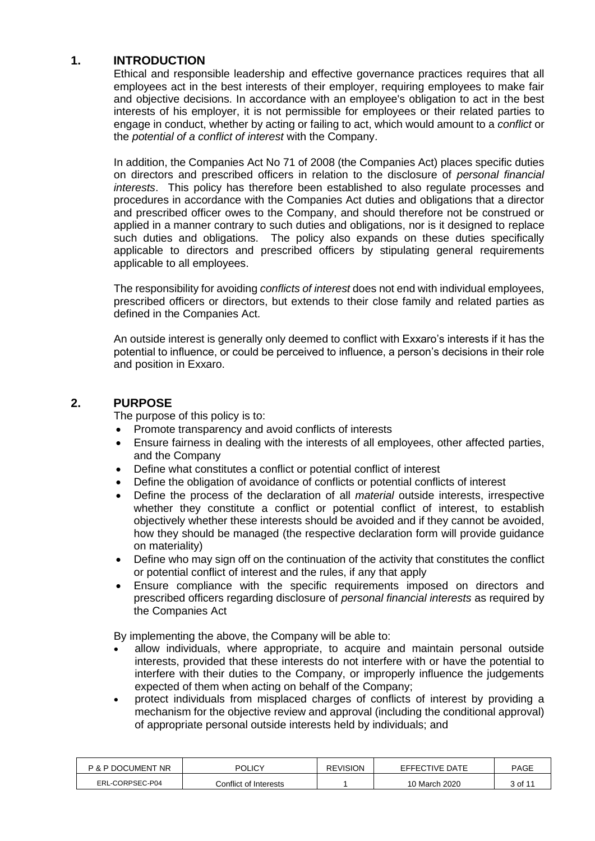## <span id="page-2-0"></span>**1. INTRODUCTION**

Ethical and responsible leadership and effective governance practices requires that all employees act in the best interests of their employer, requiring employees to make fair and objective decisions. In accordance with an employee's obligation to act in the best interests of his employer, it is not permissible for employees or their related parties to engage in conduct, whether by acting or failing to act, which would amount to a *conflict* or the *potential of a conflict of interest* with the Company.

In addition, the Companies Act No 71 of 2008 (the Companies Act) places specific duties on directors and prescribed officers in relation to the disclosure of *personal financial interests*. This policy has therefore been established to also regulate processes and procedures in accordance with the Companies Act duties and obligations that a director and prescribed officer owes to the Company, and should therefore not be construed or applied in a manner contrary to such duties and obligations, nor is it designed to replace such duties and obligations. The policy also expands on these duties specifically applicable to directors and prescribed officers by stipulating general requirements applicable to all employees.

The responsibility for avoiding *conflicts of interest* does not end with individual employees, prescribed officers or directors, but extends to their close family and related parties as defined in the Companies Act.

An outside interest is generally only deemed to conflict with Exxaro's interests if it has the potential to influence, or could be perceived to influence, a person's decisions in their role and position in Exxaro.

### <span id="page-2-1"></span>**2. PURPOSE**

The purpose of this policy is to:

- Promote transparency and avoid conflicts of interests
- Ensure fairness in dealing with the interests of all employees, other affected parties, and the Company
- Define what constitutes a conflict or potential conflict of interest
- Define the obligation of avoidance of conflicts or potential conflicts of interest
- Define the process of the declaration of all *material* outside interests, irrespective whether they constitute a conflict or potential conflict of interest, to establish objectively whether these interests should be avoided and if they cannot be avoided, how they should be managed (the respective declaration form will provide guidance on materiality)
- Define who may sign off on the continuation of the activity that constitutes the conflict or potential conflict of interest and the rules, if any that apply
- Ensure compliance with the specific requirements imposed on directors and prescribed officers regarding disclosure of *personal financial interests* as required by the Companies Act

By implementing the above, the Company will be able to:

- allow individuals, where appropriate, to acquire and maintain personal outside interests, provided that these interests do not interfere with or have the potential to interfere with their duties to the Company, or improperly influence the judgements expected of them when acting on behalf of the Company;
- protect individuals from misplaced charges of conflicts of interest by providing a mechanism for the objective review and approval (including the conditional approval) of appropriate personal outside interests held by individuals; and

| <b>P &amp; P DOCUMENT NR</b> | <b>POLICY</b>         | <b>REVISION</b> | EFFECTIVE DATE | <b>PAGE</b> |
|------------------------------|-----------------------|-----------------|----------------|-------------|
| ERL-CORPSEC-P04              | Conflict of Interests |                 | 10 March 2020  | 3 of 11     |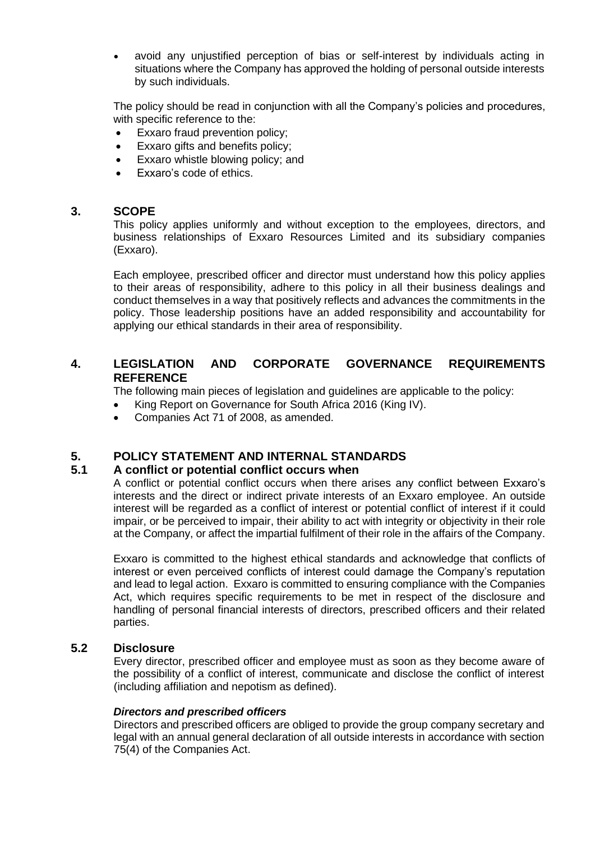• avoid any unjustified perception of bias or self-interest by individuals acting in situations where the Company has approved the holding of personal outside interests by such individuals.

The policy should be read in conjunction with all the Company's policies and procedures, with specific reference to the:

- Exxaro fraud prevention policy;
- Exxaro gifts and benefits policy;
- Exxaro whistle blowing policy; and
- Exxaro's code of ethics.

#### <span id="page-3-0"></span>**3. SCOPE**

This policy applies uniformly and without exception to the employees, directors, and business relationships of Exxaro Resources Limited and its subsidiary companies (Exxaro).

Each employee, prescribed officer and director must understand how this policy applies to their areas of responsibility, adhere to this policy in all their business dealings and conduct themselves in a way that positively reflects and advances the commitments in the policy. Those leadership positions have an added responsibility and accountability for applying our ethical standards in their area of responsibility.

## <span id="page-3-1"></span>**4. LEGISLATION AND CORPORATE GOVERNANCE REQUIREMENTS REFERENCE**

The following main pieces of legislation and guidelines are applicable to the policy:

- King Report on Governance for South Africa 2016 (King IV).
- Companies Act 71 of 2008, as amended.

## <span id="page-3-2"></span>**5. POLICY STATEMENT AND INTERNAL STANDARDS**

#### **5.1 A conflict or potential conflict occurs when**

A conflict or potential conflict occurs when there arises any conflict between Exxaro's interests and the direct or indirect private interests of an Exxaro employee. An outside interest will be regarded as a conflict of interest or potential conflict of interest if it could impair, or be perceived to impair, their ability to act with integrity or objectivity in their role at the Company, or affect the impartial fulfilment of their role in the affairs of the Company.

Exxaro is committed to the highest ethical standards and acknowledge that conflicts of interest or even perceived conflicts of interest could damage the Company's reputation and lead to legal action. Exxaro is committed to ensuring compliance with the Companies Act, which requires specific requirements to be met in respect of the disclosure and handling of personal financial interests of directors, prescribed officers and their related parties.

## **5.2 Disclosure**

Every director, prescribed officer and employee must as soon as they become aware of the possibility of a conflict of interest, communicate and disclose the conflict of interest (including affiliation and nepotism as defined).

#### *Directors and prescribed officers*

Directors and prescribed officers are obliged to provide the group company secretary and legal with an annual general declaration of all outside interests in accordance with section 75(4) of the Companies Act.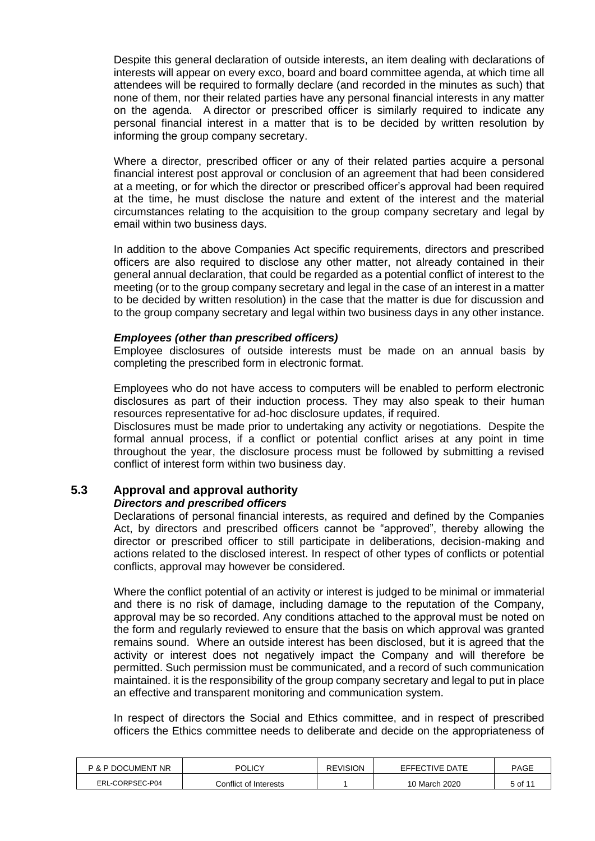Despite this general declaration of outside interests, an item dealing with declarations of interests will appear on every exco, board and board committee agenda, at which time all attendees will be required to formally declare (and recorded in the minutes as such) that none of them, nor their related parties have any personal financial interests in any matter on the agenda. A director or prescribed officer is similarly required to indicate any personal financial interest in a matter that is to be decided by written resolution by informing the group company secretary.

Where a director, prescribed officer or any of their related parties acquire a personal financial interest post approval or conclusion of an agreement that had been considered at a meeting, or for which the director or prescribed officer's approval had been required at the time, he must disclose the nature and extent of the interest and the material circumstances relating to the acquisition to the group company secretary and legal by email within two business days.

In addition to the above Companies Act specific requirements, directors and prescribed officers are also required to disclose any other matter, not already contained in their general annual declaration, that could be regarded as a potential conflict of interest to the meeting (or to the group company secretary and legal in the case of an interest in a matter to be decided by written resolution) in the case that the matter is due for discussion and to the group company secretary and legal within two business days in any other instance.

#### *Employees (other than prescribed officers)*

Employee disclosures of outside interests must be made on an annual basis by completing the prescribed form in electronic format.

Employees who do not have access to computers will be enabled to perform electronic disclosures as part of their induction process. They may also speak to their human resources representative for ad-hoc disclosure updates, if required.

Disclosures must be made prior to undertaking any activity or negotiations. Despite the formal annual process, if a conflict or potential conflict arises at any point in time throughout the year, the disclosure process must be followed by submitting a revised conflict of interest form within two business day.

#### **5.3 Approval and approval authority** *Directors and prescribed officers*

Declarations of personal financial interests, as required and defined by the Companies Act, by directors and prescribed officers cannot be "approved", thereby allowing the director or prescribed officer to still participate in deliberations, decision-making and actions related to the disclosed interest. In respect of other types of conflicts or potential conflicts, approval may however be considered.

Where the conflict potential of an activity or interest is judged to be minimal or immaterial and there is no risk of damage, including damage to the reputation of the Company, approval may be so recorded. Any conditions attached to the approval must be noted on the form and regularly reviewed to ensure that the basis on which approval was granted remains sound. Where an outside interest has been disclosed, but it is agreed that the activity or interest does not negatively impact the Company and will therefore be permitted. Such permission must be communicated, and a record of such communication maintained. it is the responsibility of the group company secretary and legal to put in place an effective and transparent monitoring and communication system.

In respect of directors the Social and Ethics committee, and in respect of prescribed officers the Ethics committee needs to deliberate and decide on the appropriateness of

| P & P DOCUMENT NR | <b>POLICY</b>         | <b>REVISION</b> | EFFECTIVE DATE | <b>PAGE</b> |
|-------------------|-----------------------|-----------------|----------------|-------------|
| ERL-CORPSEC-P04   | Conflict of Interests |                 | 10 March 2020  | 5 of 11     |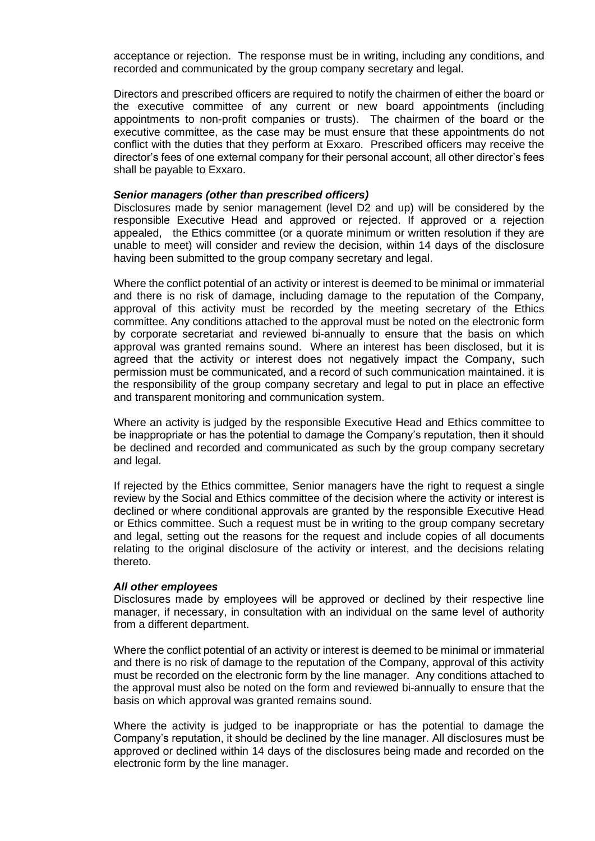acceptance or rejection. The response must be in writing, including any conditions, and recorded and communicated by the group company secretary and legal.

Directors and prescribed officers are required to notify the chairmen of either the board or the executive committee of any current or new board appointments (including appointments to non-profit companies or trusts). The chairmen of the board or the executive committee, as the case may be must ensure that these appointments do not conflict with the duties that they perform at Exxaro. Prescribed officers may receive the director's fees of one external company for their personal account, all other director's fees shall be payable to Exxaro.

#### *Senior managers (other than prescribed officers)*

Disclosures made by senior management (level D2 and up) will be considered by the responsible Executive Head and approved or rejected. If approved or a rejection appealed, the Ethics committee (or a quorate minimum or written resolution if they are unable to meet) will consider and review the decision, within 14 days of the disclosure having been submitted to the group company secretary and legal.

Where the conflict potential of an activity or interest is deemed to be minimal or immaterial and there is no risk of damage, including damage to the reputation of the Company, approval of this activity must be recorded by the meeting secretary of the Ethics committee. Any conditions attached to the approval must be noted on the electronic form by corporate secretariat and reviewed bi-annually to ensure that the basis on which approval was granted remains sound. Where an interest has been disclosed, but it is agreed that the activity or interest does not negatively impact the Company, such permission must be communicated, and a record of such communication maintained. it is the responsibility of the group company secretary and legal to put in place an effective and transparent monitoring and communication system.

Where an activity is judged by the responsible Executive Head and Ethics committee to be inappropriate or has the potential to damage the Company's reputation, then it should be declined and recorded and communicated as such by the group company secretary and legal.

If rejected by the Ethics committee, Senior managers have the right to request a single review by the Social and Ethics committee of the decision where the activity or interest is declined or where conditional approvals are granted by the responsible Executive Head or Ethics committee. Such a request must be in writing to the group company secretary and legal, setting out the reasons for the request and include copies of all documents relating to the original disclosure of the activity or interest, and the decisions relating thereto.

#### *All other employees*

Disclosures made by employees will be approved or declined by their respective line manager, if necessary, in consultation with an individual on the same level of authority from a different department.

Where the conflict potential of an activity or interest is deemed to be minimal or immaterial and there is no risk of damage to the reputation of the Company, approval of this activity must be recorded on the electronic form by the line manager. Any conditions attached to the approval must also be noted on the form and reviewed bi-annually to ensure that the basis on which approval was granted remains sound.

Where the activity is judged to be inappropriate or has the potential to damage the Company's reputation, it should be declined by the line manager. All disclosures must be approved or declined within 14 days of the disclosures being made and recorded on the electronic form by the line manager.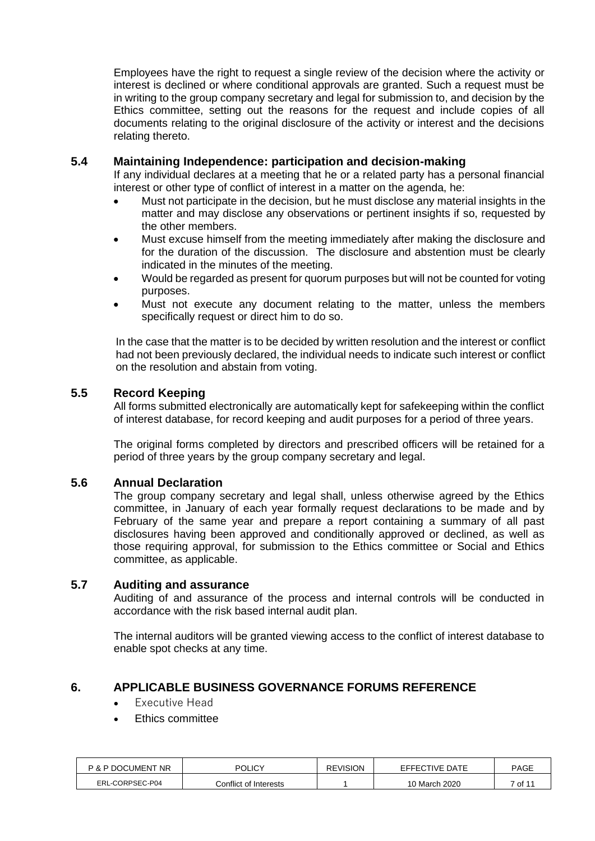Employees have the right to request a single review of the decision where the activity or interest is declined or where conditional approvals are granted. Such a request must be in writing to the group company secretary and legal for submission to, and decision by the Ethics committee, setting out the reasons for the request and include copies of all documents relating to the original disclosure of the activity or interest and the decisions relating thereto.

## **5.4 Maintaining Independence: participation and decision-making**

If any individual declares at a meeting that he or a related party has a personal financial interest or other type of conflict of interest in a matter on the agenda, he:

- Must not participate in the decision, but he must disclose any material insights in the matter and may disclose any observations or pertinent insights if so, requested by the other members.
- Must excuse himself from the meeting immediately after making the disclosure and for the duration of the discussion. The disclosure and abstention must be clearly indicated in the minutes of the meeting.
- Would be regarded as present for quorum purposes but will not be counted for voting purposes.
- Must not execute any document relating to the matter, unless the members specifically request or direct him to do so.

In the case that the matter is to be decided by written resolution and the interest or conflict had not been previously declared, the individual needs to indicate such interest or conflict on the resolution and abstain from voting.

### **5.5 Record Keeping**

All forms submitted electronically are automatically kept for safekeeping within the conflict of interest database, for record keeping and audit purposes for a period of three years.

The original forms completed by directors and prescribed officers will be retained for a period of three years by the group company secretary and legal.

#### **5.6 Annual Declaration**

The group company secretary and legal shall, unless otherwise agreed by the Ethics committee, in January of each year formally request declarations to be made and by February of the same year and prepare a report containing a summary of all past disclosures having been approved and conditionally approved or declined, as well as those requiring approval, for submission to the Ethics committee or Social and Ethics committee, as applicable.

#### **5.7 Auditing and assurance**

Auditing of and assurance of the process and internal controls will be conducted in accordance with the risk based internal audit plan.

The internal auditors will be granted viewing access to the conflict of interest database to enable spot checks at any time.

#### <span id="page-6-0"></span>**6. APPLICABLE BUSINESS GOVERNANCE FORUMS REFERENCE**

- Executive Head
- Ethics committee

| <b>P &amp; P DOCUMENT NR</b> | POLICY                | <b>REVISION</b> | EFFECTIVE DATE | <b>PAGE</b> |
|------------------------------|-----------------------|-----------------|----------------|-------------|
| ERL-CORPSEC-P04              | Conflict of Interests |                 | 10 March 2020  | 7 of 11     |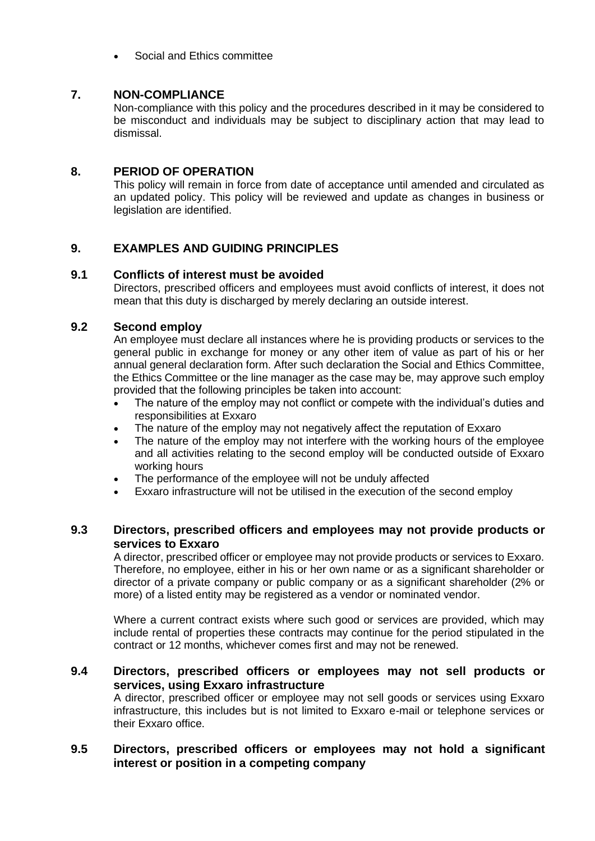• Social and Ethics committee

## <span id="page-7-0"></span>**7. NON-COMPLIANCE**

Non-compliance with this policy and the procedures described in it may be considered to be misconduct and individuals may be subject to disciplinary action that may lead to dismissal.

## <span id="page-7-1"></span>**8. PERIOD OF OPERATION**

This policy will remain in force from date of acceptance until amended and circulated as an updated policy. This policy will be reviewed and update as changes in business or legislation are identified.

## <span id="page-7-2"></span>**9. EXAMPLES AND GUIDING PRINCIPLES**

## **9.1 Conflicts of interest must be avoided**

Directors, prescribed officers and employees must avoid conflicts of interest, it does not mean that this duty is discharged by merely declaring an outside interest.

### **9.2 Second employ**

An employee must declare all instances where he is providing products or services to the general public in exchange for money or any other item of value as part of his or her annual general declaration form. After such declaration the Social and Ethics Committee, the Ethics Committee or the line manager as the case may be, may approve such employ provided that the following principles be taken into account:

- The nature of the employ may not conflict or compete with the individual's duties and responsibilities at Exxaro
- The nature of the employ may not negatively affect the reputation of Exxaro
- The nature of the employ may not interfere with the working hours of the employee and all activities relating to the second employ will be conducted outside of Exxaro working hours
- The performance of the employee will not be unduly affected
- Exxaro infrastructure will not be utilised in the execution of the second employ

## **9.3 Directors, prescribed officers and employees may not provide products or services to Exxaro**

A director, prescribed officer or employee may not provide products or services to Exxaro. Therefore, no employee, either in his or her own name or as a significant shareholder or director of a private company or public company or as a significant shareholder (2% or more) of a listed entity may be registered as a vendor or nominated vendor.

Where a current contract exists where such good or services are provided, which may include rental of properties these contracts may continue for the period stipulated in the contract or 12 months, whichever comes first and may not be renewed.

## **9.4 Directors, prescribed officers or employees may not sell products or services, using Exxaro infrastructure**

A director, prescribed officer or employee may not sell goods or services using Exxaro infrastructure, this includes but is not limited to Exxaro e-mail or telephone services or their Exxaro office.

## **9.5 Directors, prescribed officers or employees may not hold a significant interest or position in a competing company**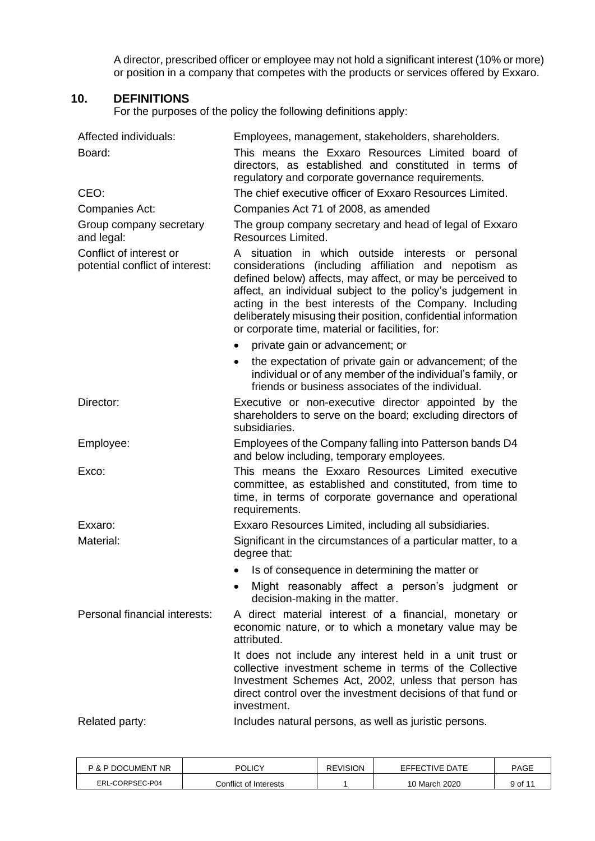A director, prescribed officer or employee may not hold a significant interest (10% or more) or position in a company that competes with the products or services offered by Exxaro.

## <span id="page-8-0"></span>**10. DEFINITIONS**

For the purposes of the policy the following definitions apply:

| Affected individuals:                                      | Employees, management, stakeholders, shareholders.                                                                                                                                                                                                                                                                                                                                                                     |  |  |
|------------------------------------------------------------|------------------------------------------------------------------------------------------------------------------------------------------------------------------------------------------------------------------------------------------------------------------------------------------------------------------------------------------------------------------------------------------------------------------------|--|--|
| Board:                                                     | This means the Exxaro Resources Limited board of<br>directors, as established and constituted in terms of<br>regulatory and corporate governance requirements.                                                                                                                                                                                                                                                         |  |  |
| CEO:                                                       | The chief executive officer of Exxaro Resources Limited.                                                                                                                                                                                                                                                                                                                                                               |  |  |
| Companies Act:                                             | Companies Act 71 of 2008, as amended                                                                                                                                                                                                                                                                                                                                                                                   |  |  |
| Group company secretary<br>and legal:                      | The group company secretary and head of legal of Exxaro<br>Resources Limited.                                                                                                                                                                                                                                                                                                                                          |  |  |
| Conflict of interest or<br>potential conflict of interest: | A situation in which outside interests or personal<br>considerations (including affiliation and nepotism as<br>defined below) affects, may affect, or may be perceived to<br>affect, an individual subject to the policy's judgement in<br>acting in the best interests of the Company. Including<br>deliberately misusing their position, confidential information<br>or corporate time, material or facilities, for: |  |  |
|                                                            | private gain or advancement; or                                                                                                                                                                                                                                                                                                                                                                                        |  |  |
|                                                            | the expectation of private gain or advancement; of the<br>individual or of any member of the individual's family, or<br>friends or business associates of the individual.                                                                                                                                                                                                                                              |  |  |
| Director:                                                  | Executive or non-executive director appointed by the<br>shareholders to serve on the board; excluding directors of<br>subsidiaries.                                                                                                                                                                                                                                                                                    |  |  |
| Employee:                                                  | Employees of the Company falling into Patterson bands D4<br>and below including, temporary employees.                                                                                                                                                                                                                                                                                                                  |  |  |
| Exco:                                                      | This means the Exxaro Resources Limited executive<br>committee, as established and constituted, from time to<br>time, in terms of corporate governance and operational<br>requirements.                                                                                                                                                                                                                                |  |  |
| Exxaro:                                                    | Exxaro Resources Limited, including all subsidiaries.                                                                                                                                                                                                                                                                                                                                                                  |  |  |
| Material:                                                  | Significant in the circumstances of a particular matter, to a<br>degree that:                                                                                                                                                                                                                                                                                                                                          |  |  |
|                                                            | Is of consequence in determining the matter or                                                                                                                                                                                                                                                                                                                                                                         |  |  |
|                                                            | Might reasonably affect a person's judgment or<br>decision-making in the matter.                                                                                                                                                                                                                                                                                                                                       |  |  |
| Personal financial interests:                              | A direct material interest of a financial, monetary or<br>economic nature, or to which a monetary value may be<br>attributed.                                                                                                                                                                                                                                                                                          |  |  |
|                                                            | It does not include any interest held in a unit trust or<br>collective investment scheme in terms of the Collective<br>Investment Schemes Act, 2002, unless that person has<br>direct control over the investment decisions of that fund or<br>investment.                                                                                                                                                             |  |  |
| Related party:                                             | Includes natural persons, as well as juristic persons.                                                                                                                                                                                                                                                                                                                                                                 |  |  |

| <b>P &amp; P DOCUMENT NR</b> | POLICY                | <b>REVISION</b> | EFFECTIVE DATE | <b>PAGE</b> |
|------------------------------|-----------------------|-----------------|----------------|-------------|
| ERL-CORPSEC-P04              | Conflict of Interests |                 | 10 March 2020  | 9 of 11     |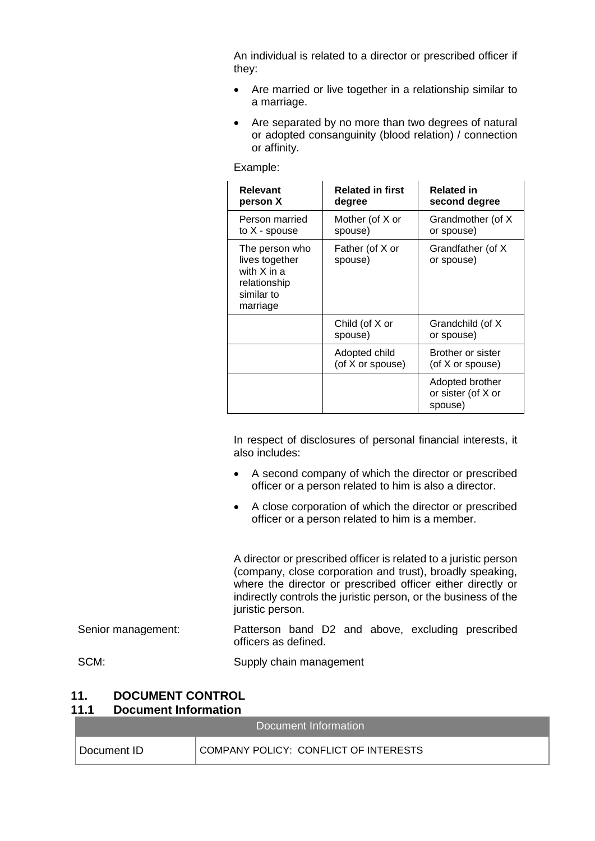An individual is related to a director or prescribed officer if they:

- Are married or live together in a relationship similar to a marriage.
- Are separated by no more than two degrees of natural or adopted consanguinity (blood relation) / connection or affinity.

Example:

| <b>Relevant</b><br>person X                                                                   | <b>Related in first</b><br>degree | <b>Related in</b><br>second degree               |
|-----------------------------------------------------------------------------------------------|-----------------------------------|--------------------------------------------------|
| Person married<br>to X - spouse                                                               | Mother (of X or<br>spouse)        | Grandmother (of X)<br>or spouse)                 |
| The person who<br>lives together<br>with $X$ in $a$<br>relationship<br>similar to<br>marriage | Father (of X or<br>spouse)        | Grandfather (of X)<br>or spouse)                 |
|                                                                                               | Child (of X or<br>spouse)         | Grandchild (of X<br>or spouse)                   |
|                                                                                               | Adopted child<br>(of X or spouse) | Brother or sister<br>(of X or spouse)            |
|                                                                                               |                                   | Adopted brother<br>or sister (of X or<br>spouse) |

In respect of disclosures of personal financial interests, it also includes:

- A second company of which the director or prescribed officer or a person related to him is also a director.
- A close corporation of which the director or prescribed officer or a person related to him is a member.

A director or prescribed officer is related to a juristic person (company, close corporation and trust), broadly speaking, where the director or prescribed officer either directly or indirectly controls the juristic person, or the business of the juristic person.

# Senior management: Patterson band D2 and above, excluding prescribed officers as defined.

SCM: Supply chain management

#### <span id="page-9-0"></span>**11. DOCUMENT CONTROL 11.1 Document Information**

|              | Document Information                  |
|--------------|---------------------------------------|
| Document ID- | COMPANY POLICY: CONFLICT OF INTERESTS |